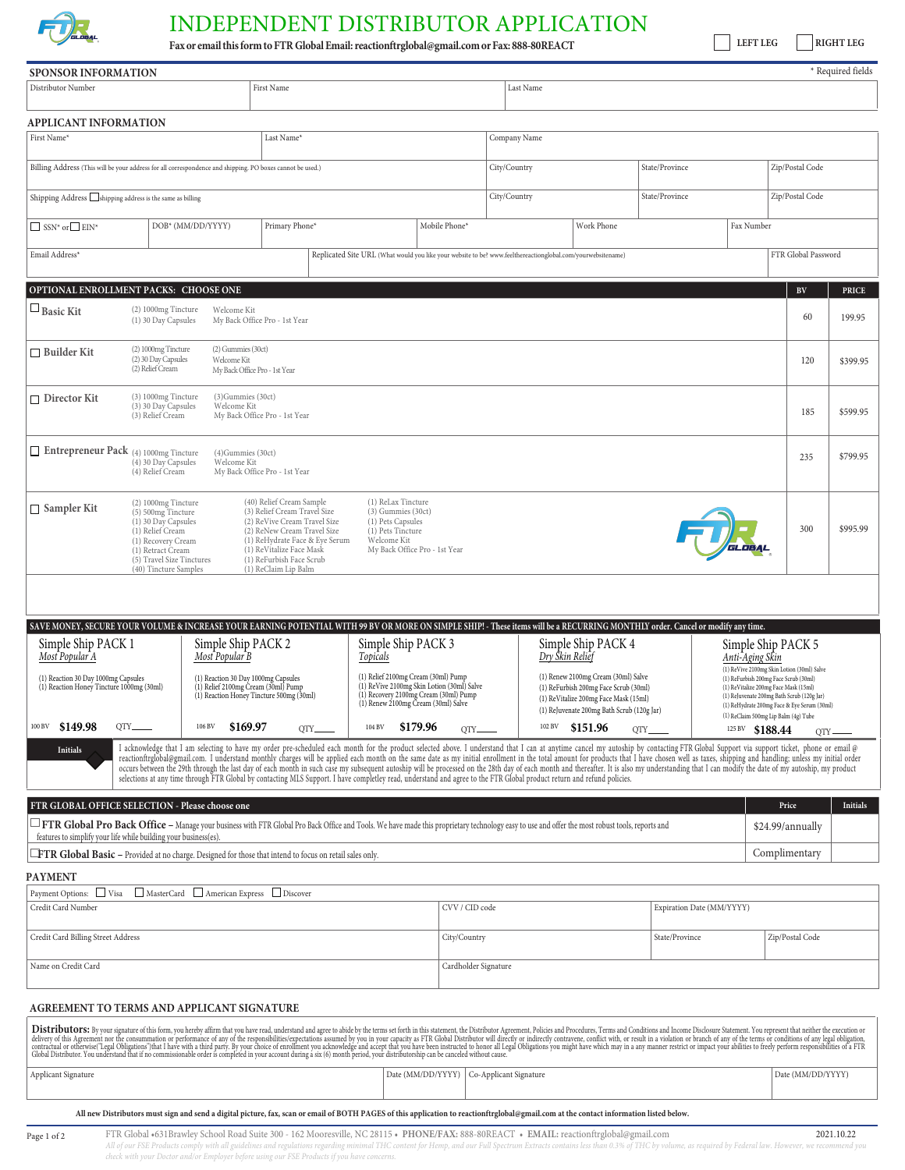

## INDEPENDENT DISTRIBUTOR APPLICATION

**Fax or emailthisformtoFTR GlobalEmail: reactionftrglobal@gmail.comorFax: 888-80REACT**

**LEFT LEG RIGHT LEG**

 $\overline{\phantom{a}^*}$  Required fields

| <b>SPONSOR INFORMATION</b>                                                                                                                                                                                                                                                                                                                                                                                                                                                                                                                                                                                                                                                                                                                                                                                                                                                                  |                                                                                                                                                                                       |                                       |                                                                                                                                                                                                                                           |                                                                                                                                        |                                            |                                                                                                                                                                                                              |            |                 |                |                           |                                                                                                                                                                                                                                                 |                   | * Required fields |
|---------------------------------------------------------------------------------------------------------------------------------------------------------------------------------------------------------------------------------------------------------------------------------------------------------------------------------------------------------------------------------------------------------------------------------------------------------------------------------------------------------------------------------------------------------------------------------------------------------------------------------------------------------------------------------------------------------------------------------------------------------------------------------------------------------------------------------------------------------------------------------------------|---------------------------------------------------------------------------------------------------------------------------------------------------------------------------------------|---------------------------------------|-------------------------------------------------------------------------------------------------------------------------------------------------------------------------------------------------------------------------------------------|----------------------------------------------------------------------------------------------------------------------------------------|--------------------------------------------|--------------------------------------------------------------------------------------------------------------------------------------------------------------------------------------------------------------|------------|-----------------|----------------|---------------------------|-------------------------------------------------------------------------------------------------------------------------------------------------------------------------------------------------------------------------------------------------|-------------------|-------------------|
| Distributor Number                                                                                                                                                                                                                                                                                                                                                                                                                                                                                                                                                                                                                                                                                                                                                                                                                                                                          |                                                                                                                                                                                       |                                       | Last Name                                                                                                                                                                                                                                 |                                                                                                                                        |                                            |                                                                                                                                                                                                              |            |                 |                |                           |                                                                                                                                                                                                                                                 |                   |                   |
| <b>APPLICANT INFORMATION</b>                                                                                                                                                                                                                                                                                                                                                                                                                                                                                                                                                                                                                                                                                                                                                                                                                                                                |                                                                                                                                                                                       |                                       |                                                                                                                                                                                                                                           |                                                                                                                                        |                                            |                                                                                                                                                                                                              |            |                 |                |                           |                                                                                                                                                                                                                                                 |                   |                   |
| First Name*<br>Last Name*                                                                                                                                                                                                                                                                                                                                                                                                                                                                                                                                                                                                                                                                                                                                                                                                                                                                   |                                                                                                                                                                                       |                                       |                                                                                                                                                                                                                                           |                                                                                                                                        | Company Name                               |                                                                                                                                                                                                              |            |                 |                |                           |                                                                                                                                                                                                                                                 |                   |                   |
| Billing Address (This will be your address for all correspondence and shipping. PO boxes cannot be used.)                                                                                                                                                                                                                                                                                                                                                                                                                                                                                                                                                                                                                                                                                                                                                                                   |                                                                                                                                                                                       |                                       |                                                                                                                                                                                                                                           |                                                                                                                                        | City/Country                               |                                                                                                                                                                                                              |            |                 | State/Province |                           |                                                                                                                                                                                                                                                 | Zip/Postal Code   |                   |
| Shipping Address Shipping address is the same as billing                                                                                                                                                                                                                                                                                                                                                                                                                                                                                                                                                                                                                                                                                                                                                                                                                                    |                                                                                                                                                                                       |                                       |                                                                                                                                                                                                                                           |                                                                                                                                        | City/Country                               |                                                                                                                                                                                                              |            | State/Province  |                |                           | Zip/Postal Code                                                                                                                                                                                                                                 |                   |                   |
| $\Box$ SSN* or $\Box$ EIN*<br>DOB* (MM/DD/YYYY)                                                                                                                                                                                                                                                                                                                                                                                                                                                                                                                                                                                                                                                                                                                                                                                                                                             |                                                                                                                                                                                       | Primary Phone*                        |                                                                                                                                                                                                                                           | Mobile Phone*                                                                                                                          |                                            |                                                                                                                                                                                                              | Work Phone |                 | Fax Number     |                           |                                                                                                                                                                                                                                                 |                   |                   |
| Email Address*<br>FTR Global Password<br>Replicated Site URL (What would you like your website to be? www.feelthereactionglobal.com/yourwebsitename)                                                                                                                                                                                                                                                                                                                                                                                                                                                                                                                                                                                                                                                                                                                                        |                                                                                                                                                                                       |                                       |                                                                                                                                                                                                                                           |                                                                                                                                        |                                            |                                                                                                                                                                                                              |            |                 |                |                           |                                                                                                                                                                                                                                                 |                   |                   |
| OPTIONAL ENROLLMENT PACKS: CHOOSE ONE                                                                                                                                                                                                                                                                                                                                                                                                                                                                                                                                                                                                                                                                                                                                                                                                                                                       |                                                                                                                                                                                       |                                       |                                                                                                                                                                                                                                           |                                                                                                                                        |                                            |                                                                                                                                                                                                              |            |                 |                |                           |                                                                                                                                                                                                                                                 | $\mathbf{BV}$     | <b>PRICE</b>      |
| $\square$ Basic Kit                                                                                                                                                                                                                                                                                                                                                                                                                                                                                                                                                                                                                                                                                                                                                                                                                                                                         | $(2)$ 1000 $mg$ Tincture<br>(1) 30 Day Capsules                                                                                                                                       | Welcome Kit                           | My Back Office Pro - 1st Year                                                                                                                                                                                                             |                                                                                                                                        |                                            |                                                                                                                                                                                                              |            |                 |                |                           |                                                                                                                                                                                                                                                 | 60                | 199.95            |
| $\Box$ Builder Kit                                                                                                                                                                                                                                                                                                                                                                                                                                                                                                                                                                                                                                                                                                                                                                                                                                                                          | (2) 1000mg Tincture<br>(2) 30 Day Capsules<br>(2) Relief Cream                                                                                                                        | $(2)$ Gummies $(30ct)$<br>Welcome Kit | My Back Office Pro - 1st Year                                                                                                                                                                                                             |                                                                                                                                        |                                            |                                                                                                                                                                                                              |            |                 |                |                           |                                                                                                                                                                                                                                                 | 120               | \$399.95          |
| $\Box$ Director Kit                                                                                                                                                                                                                                                                                                                                                                                                                                                                                                                                                                                                                                                                                                                                                                                                                                                                         | (3) 1000mg Tincture<br>(3) 30 Day Capsules<br>(3) Relief Cream                                                                                                                        | (3) Gummies (30ct)<br>Welcome Kit     | My Back Office Pro - 1st Year                                                                                                                                                                                                             |                                                                                                                                        |                                            |                                                                                                                                                                                                              |            |                 |                |                           |                                                                                                                                                                                                                                                 | 185               | \$599.95          |
| $\Box$ Entrepreneur Pack (4) 1000mg Tincture                                                                                                                                                                                                                                                                                                                                                                                                                                                                                                                                                                                                                                                                                                                                                                                                                                                | (4) 30 Day Capsules<br>(4) Relief Cream                                                                                                                                               | (4) Gummies (30ct)<br>Welcome Kit     | My Back Office Pro - 1st Year                                                                                                                                                                                                             |                                                                                                                                        |                                            |                                                                                                                                                                                                              |            |                 |                |                           |                                                                                                                                                                                                                                                 | 235               | \$799.95          |
| □ Sampler Kit                                                                                                                                                                                                                                                                                                                                                                                                                                                                                                                                                                                                                                                                                                                                                                                                                                                                               | (2) 1000mg Tincture<br>(5) 500mg Tincture<br>(1) 30 Day Capsules<br>(1) Relief Cream<br>(1) Recovery Cream<br>(1) Retract Cream<br>(5) Travel Size Tinctures<br>(40) Tincture Samples |                                       | (40) Relief Cream Sample<br>(3) Relief Cream Travel Size<br>(2) ReVive Cream Travel Size<br>(2) ReNew Cream Travel Size<br>(1) ReHydrate Face & Eye Serum<br>(1) ReVitalize Face Mask<br>(1) ReFurbish Face Scrub<br>(1) ReClaim Lip Balm | (1) ReLax Tincture<br>$(3)$ Gummies $(30ct)$<br>(1) Pets Capsules<br>(1) Pets Tincture<br>Welcome Kit<br>My Back Office Pro - 1st Year |                                            |                                                                                                                                                                                                              |            |                 |                |                           | GLOBAL                                                                                                                                                                                                                                          | 300               | \$995.99          |
| SAVE MONEY, SECURE YOUR VOLUME & INCREASE YOUR EARNING POTENTIAL WITH 99 BV OR MORE ON SIMPLE SHIP! - These items will be a RECURRING MONTHLY order. Cancel or modify any time.<br>Simple Ship PACK 2<br>Simple Ship PACK 1<br>Most Popular B<br>Most Popular A<br>(1) Reaction 30 Day 1000mg Capsules<br>(1) Reaction 30 Day 1000mg Capsules<br>(1) Reaction Honey Tincture 1000mg (30ml)<br>(1) Relief 2100mg Cream (30ml) Pump<br>(1) Reaction Honey Tincture 500mg (30ml)                                                                                                                                                                                                                                                                                                                                                                                                               |                                                                                                                                                                                       |                                       | Simple Ship PACK 3<br>Topicals<br>(1) Relief 2100mg Cream (30ml) Pump<br>(1) ReVive 2100mg Skin Lotion (30ml) Salve<br>(1) Recovery 2100mg Cream (30ml) Pump<br>(1) Renew 2100mg Cream (30ml) Salve                                       |                                                                                                                                        |                                            | Simple Ship PACK 4<br>Dry Škin Relief<br>(1) Renew 2100mg Cream (30ml) Salve<br>(1) ReFurbish 200mg Face Scrub (30ml)<br>(1) ReVitalize 200mg Face Mask (15ml)<br>(1) ReJuvenate 200mg Bath Scrub (120g Jar) |            | Anti-Aging Skin |                |                           | Simple Ship PACK 5<br>(1) ReVive 2100mg Skin Lotion (30ml) Salve<br>(1) ReFurbish 200mg Face Scrub (30ml)<br>(1) ReVitalize 200mg Face Mask (15ml)<br>(1) ReJuvenate 200mg Bath Scrub (120g Jar)<br>(1) ReHydrate 200mg Face & Eye Serum (30ml) |                   |                   |
| (1) ReClaim 500mg Lip Balm (4g) Tube<br>100 BV \$149.98<br>\$179.96<br>102 BV \$151.96 QTY<br>OTY.<br>106 BV \$169.97<br>104 BV<br>125 BV \$188.44<br>QTY.<br>QTY_<br>QTY<br>I acknowledge that I am selecting to have my order pre-scheduled each month for the product selected above. I understand that I can at anytime cancel my autoship by contacting FTR Global Support via support ticket, phone o<br>Initials<br>reactionftrglobal@gmail.com. I understand monthly charges will be applied each month on the same date as my initial enrollment in the total amount for products that I have chosen well as taxes, shipping and handling; unles<br>occurs between the 29th through the last day of each month in such case my subsequent autoship will be processed on the 28th day of each month and thereatter. It is also my understanding that I can modify the date of my au |                                                                                                                                                                                       |                                       |                                                                                                                                                                                                                                           |                                                                                                                                        |                                            |                                                                                                                                                                                                              |            |                 |                |                           |                                                                                                                                                                                                                                                 |                   |                   |
| FTR GLOBAL OFFICE SELECTION - Please choose one                                                                                                                                                                                                                                                                                                                                                                                                                                                                                                                                                                                                                                                                                                                                                                                                                                             |                                                                                                                                                                                       |                                       |                                                                                                                                                                                                                                           |                                                                                                                                        |                                            |                                                                                                                                                                                                              |            |                 |                |                           |                                                                                                                                                                                                                                                 | Price             | <b>Initials</b>   |
| $\perp$ FTR Global Pro Back Office – Manage your business with FTR Global Pro Back Office and Tools. We have made this proprietary technology easy to use and offer the most robust tools, reports and<br>features to simplify your life while building your business(es).                                                                                                                                                                                                                                                                                                                                                                                                                                                                                                                                                                                                                  |                                                                                                                                                                                       |                                       |                                                                                                                                                                                                                                           |                                                                                                                                        |                                            |                                                                                                                                                                                                              |            |                 |                |                           |                                                                                                                                                                                                                                                 | \$24.99/annually  |                   |
| <b>ETR Global Basic</b> – Provided at no charge. Designed for those that intend to focus on retail sales only.                                                                                                                                                                                                                                                                                                                                                                                                                                                                                                                                                                                                                                                                                                                                                                              |                                                                                                                                                                                       |                                       |                                                                                                                                                                                                                                           |                                                                                                                                        |                                            |                                                                                                                                                                                                              |            |                 | Complimentary  |                           |                                                                                                                                                                                                                                                 |                   |                   |
| <b>PAYMENT</b>                                                                                                                                                                                                                                                                                                                                                                                                                                                                                                                                                                                                                                                                                                                                                                                                                                                                              |                                                                                                                                                                                       |                                       |                                                                                                                                                                                                                                           |                                                                                                                                        |                                            |                                                                                                                                                                                                              |            |                 |                |                           |                                                                                                                                                                                                                                                 |                   |                   |
| Payment Options: Visa<br>Credit Card Number                                                                                                                                                                                                                                                                                                                                                                                                                                                                                                                                                                                                                                                                                                                                                                                                                                                 |                                                                                                                                                                                       | MasterCard American Express Discover  |                                                                                                                                                                                                                                           |                                                                                                                                        | CVV / CID code                             |                                                                                                                                                                                                              |            |                 |                | Expiration Date (MM/YYYY) |                                                                                                                                                                                                                                                 |                   |                   |
| Credit Card Billing Street Address                                                                                                                                                                                                                                                                                                                                                                                                                                                                                                                                                                                                                                                                                                                                                                                                                                                          |                                                                                                                                                                                       |                                       | City/Country                                                                                                                                                                                                                              |                                                                                                                                        |                                            |                                                                                                                                                                                                              |            | State/Province  |                |                           | Zip/Postal Code                                                                                                                                                                                                                                 |                   |                   |
| Name on Credit Card                                                                                                                                                                                                                                                                                                                                                                                                                                                                                                                                                                                                                                                                                                                                                                                                                                                                         |                                                                                                                                                                                       |                                       |                                                                                                                                                                                                                                           |                                                                                                                                        | Cardholder Signature                       |                                                                                                                                                                                                              |            |                 |                |                           |                                                                                                                                                                                                                                                 |                   |                   |
| AGREEMENT TO TERMS AND APPLICANT SIGNATURE                                                                                                                                                                                                                                                                                                                                                                                                                                                                                                                                                                                                                                                                                                                                                                                                                                                  |                                                                                                                                                                                       |                                       |                                                                                                                                                                                                                                           |                                                                                                                                        |                                            |                                                                                                                                                                                                              |            |                 |                |                           |                                                                                                                                                                                                                                                 |                   |                   |
|                                                                                                                                                                                                                                                                                                                                                                                                                                                                                                                                                                                                                                                                                                                                                                                                                                                                                             |                                                                                                                                                                                       |                                       | <b>Distributors:</b> By your signature of this form, you hereby affirm that you have read, understand and agree to abide by the terms set forth in this statement, the Distributor Agreement, Policies and Procedures, Terms and Co       |                                                                                                                                        |                                            |                                                                                                                                                                                                              |            |                 |                |                           |                                                                                                                                                                                                                                                 |                   |                   |
| Applicant Signature                                                                                                                                                                                                                                                                                                                                                                                                                                                                                                                                                                                                                                                                                                                                                                                                                                                                         |                                                                                                                                                                                       |                                       |                                                                                                                                                                                                                                           |                                                                                                                                        | Date (MM/DD/YYYY)   Co-Applicant Signature |                                                                                                                                                                                                              |            |                 |                |                           |                                                                                                                                                                                                                                                 | Date (MM/DD/YYYY) |                   |
|                                                                                                                                                                                                                                                                                                                                                                                                                                                                                                                                                                                                                                                                                                                                                                                                                                                                                             |                                                                                                                                                                                       |                                       | All new Distributors must sign and send a digital picture, fax, scan or email of BOTH PAGES of this application to reactionftrglobal@gmail.com at the contact information listed below.                                                   |                                                                                                                                        |                                            |                                                                                                                                                                                                              |            |                 |                |                           |                                                                                                                                                                                                                                                 |                   |                   |
|                                                                                                                                                                                                                                                                                                                                                                                                                                                                                                                                                                                                                                                                                                                                                                                                                                                                                             |                                                                                                                                                                                       |                                       | FTR Global •631Brawley School Road Suite 300 - 162 Mooresville, NC 28115 • PHONE/FAX: 888-80REACT • EMAIL: reactionftrglobal@gmail.com                                                                                                    |                                                                                                                                        |                                            |                                                                                                                                                                                                              |            |                 |                |                           |                                                                                                                                                                                                                                                 |                   | 2021.10.22        |